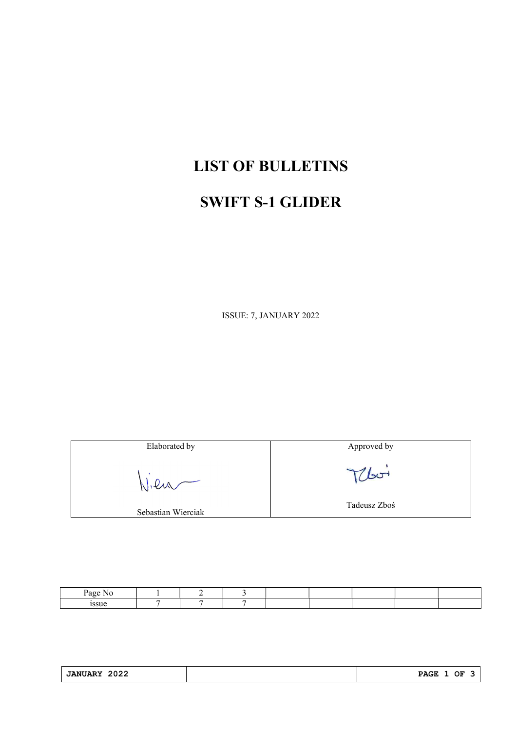## LIST OF BULLETINS

## SWIFT S-1 GLIDER

ISSUE: 7, JANUARY 2022

Elaborated by Vien

Sebastian Wierciak

Approved by

Thoi

Tadeusz Zboś

| Page Ni |  |  |  |  |
|---------|--|--|--|--|
| 199116  |  |  |  |  |

| 2022<br><b>JANUARY</b> | <b>PAGE</b><br>ОF<br>_______ |
|------------------------|------------------------------|
|                        |                              |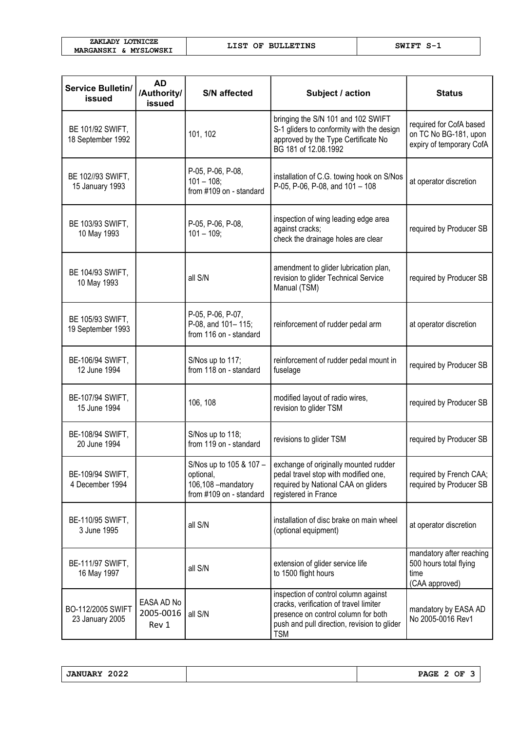| ZAKLADY LOTNICZE      |  |  |
|-----------------------|--|--|
| MARGANSKI & MYSLOWSKI |  |  |

LIST OF BULLETINS SWIFT S-1

| <b>Service Bulletin/</b><br>issued    | <b>AD</b><br>/Authority/<br>issued | <b>S/N</b> affected                                                                                                                                        | Subject / action                                                                                                                                                                   | <b>Status</b>                                                                |
|---------------------------------------|------------------------------------|------------------------------------------------------------------------------------------------------------------------------------------------------------|------------------------------------------------------------------------------------------------------------------------------------------------------------------------------------|------------------------------------------------------------------------------|
| BE 101/92 SWIFT.<br>18 September 1992 |                                    | bringing the S/N 101 and 102 SWIFT<br>S-1 gliders to conformity with the design<br>101, 102<br>approved by the Type Certificate No<br>BG 181 of 12.08.1992 |                                                                                                                                                                                    | required for CofA based<br>on TC No BG-181, upon<br>expiry of temporary CofA |
| BE 102//93 SWIFT,<br>15 January 1993  |                                    | P-05, P-06, P-08,<br>installation of C.G. towing hook on S/Nos<br>$101 - 108$ ;<br>P-05, P-06, P-08, and 101 - 108<br>from #109 on - standard              |                                                                                                                                                                                    | at operator discretion                                                       |
| BE 103/93 SWIFT,<br>10 May 1993       |                                    | inspection of wing leading edge area<br>P-05, P-06, P-08,<br>against cracks;<br>$101 - 109;$<br>check the drainage holes are clear                         |                                                                                                                                                                                    | required by Producer SB                                                      |
| BE 104/93 SWIFT,<br>10 May 1993       |                                    | all S/N                                                                                                                                                    | amendment to glider lubrication plan,<br>revision to glider Technical Service<br>Manual (TSM)                                                                                      | required by Producer SB                                                      |
| BE 105/93 SWIFT,<br>19 September 1993 |                                    | P-05, P-06, P-07,<br>P-08, and 101-115;<br>from 116 on - standard                                                                                          | reinforcement of rudder pedal arm                                                                                                                                                  | at operator discretion                                                       |
| BE-106/94 SWIFT,<br>12 June 1994      |                                    | S/Nos up to 117;<br>from 118 on - standard                                                                                                                 | reinforcement of rudder pedal mount in<br>fuselage                                                                                                                                 | required by Producer SB                                                      |
| BE-107/94 SWIFT,<br>15 June 1994      |                                    | 106, 108                                                                                                                                                   | modified layout of radio wires,<br>revision to glider TSM                                                                                                                          | required by Producer SB                                                      |
| BE-108/94 SWIFT,<br>20 June 1994      |                                    | S/Nos up to 118;<br>from 119 on - standard                                                                                                                 | revisions to glider TSM                                                                                                                                                            | required by Producer SB                                                      |
| BE-109/94 SWIFT,<br>4 December 1994   |                                    | optional,<br>106,108 - mandatory<br>from #109 on - standard                                                                                                | S/Nos up to 105 & 107 - $ $ exchange of originally mounted rudder<br>pedal travel stop with modified one,<br>required by National CAA on gliders<br>registered in France           | required by French CAA;<br>required by Producer SB                           |
| BE-110/95 SWIFT,<br>3 June 1995       |                                    | all S/N                                                                                                                                                    | installation of disc brake on main wheel<br>(optional equipment)                                                                                                                   | at operator discretion                                                       |
| BE-111/97 SWIFT,<br>16 May 1997       |                                    | all S/N                                                                                                                                                    | extension of glider service life<br>to 1500 flight hours                                                                                                                           | mandatory after reaching<br>500 hours total flying<br>time<br>(CAA approved) |
| BO-112/2005 SWIFT<br>23 January 2005  | EASA AD No<br>2005-0016<br>Rev 1   | all S/N                                                                                                                                                    | inspection of control column against<br>cracks, verification of travel limiter<br>presence on control column for both<br>push and pull direction, revision to glider<br><b>TSM</b> | mandatory by EASA AD<br>No 2005-0016 Rev1                                    |